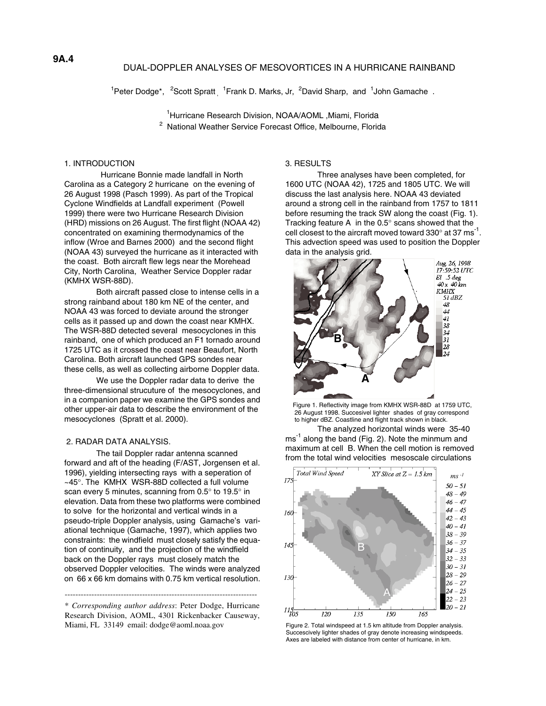# DUAL-DOPPLER ANALYSES OF MESOVORTICES IN A HURRICANE RAINBAND

<sup>1</sup>Peter Dodge\*, <sup>2</sup>Scott Spratt<sub>,</sub> <sup>1</sup>Frank D. Marks, Jr, <sup>2</sup>David Sharp, and <sup>1</sup>John Gamache.

<sup>1</sup>Hurricane Research Division, NOAA/AOML, Miami, Florida <sup>2</sup> National Weather Service Forecast Office, Melbourne, Florida

## 1. INTRODUCTION

 Hurricane Bonnie made landfall in North Carolina as a Category 2 hurricane on the evening of 26 August 1998 (Pasch 1999). As part of the Tropical Cyclone Windfields at Landfall experiment (Powell 1999) there were two Hurricane Research Division (HRD) missions on 26 August. The first flight (NOAA 42) concentrated on examining thermodynamics of the inflow (Wroe and Barnes 2000) and the second flight (NOAA 43) surveyed the hurricane as it interacted with the coast. Both aircraft flew legs near the Morehead City, North Carolina, Weather Service Doppler radar (KMHX WSR-88D).

Both aircraft passed close to intense cells in a strong rainband about 180 km NE of the center, and NOAA 43 was forced to deviate around the stronger cells as it passed up and down the coast near KMHX. The WSR-88D detected several mesocyclones in this rainband, one of which produced an F1 tornado around 1725 UTC as it crossed the coast near Beaufort, North Carolina. Both aircraft launched GPS sondes near these cells, as well as collecting airborne Doppler data.

We use the Doppler radar data to derive the three-dimensional strucuture of the mesocyclones, and in a companion paper we examine the GPS sondes and other upper-air data to describe the environment of the mesocyclones (Spratt et al. 2000).

### 2. RADAR DATA ANALYSIS.

The tail Doppler radar antenna scanned forward and aft of the heading (F/AST, Jorgensen et al. 1996), yielding intersecting rays with a seperation of ~45°. The KMHX WSR-88D collected a full volume scan every 5 minutes, scanning from 0.5° to 19.5° in elevation. Data from these two platforms were combined to solve for the horizontal and vertical winds in a pseudo-triple Doppler analysis, using Gamache's variational technique (Gamache, 1997), which applies two constraints: the windfield must closely satisfy the equation of continuity, and the projection of the windfield back on the Doppler rays must closely match the observed Doppler velocities. The winds were analyzed on 66 x 66 km domains with 0.75 km vertical resolution.

\* *Corresponding author address*: Peter Dodge, Hurricane Research Division, AOML, 4301 Rickenbacker Causeway, Miami, FL 33149 email: dodge@aoml.noaa.gov

------------------------------------------------------------------------

#### 3. RESULTS

Three analyses have been completed, for 1600 UTC (NOAA 42), 1725 and 1805 UTC. We will discuss the last analysis here. NOAA 43 deviated around a strong cell in the rainband from 1757 to 1811 before resuming the track SW along the coast (Fig. 1). Tracking feature A in the 0.5° scans showed that the cell closest to the aircraft moved toward  $330^{\circ}$  at 37 ms<sup>-1</sup>. This advection speed was used to position the Doppler data in the analysis grid.



Figure 1. Reflectivity image from KMHX WSR-88D at 1759 UTC, 26 August 1998. Succesivel lighter shades of gray correspond to higher dBZ. Coastline and flight track shown in black.

The analyzed horizontal winds were 35-40  $\text{ms}^{-1}$  along the band (Fig. 2). Note the minmum and maximum at cell B. When the cell motion is removed from the total wind velocities mesoscale circulations



Figure 2. Total windspeed at 1.5 km altitude from Doppler analysis. Succescively lighter shades of gray denote increasing windspeeds. Axes are labeled with distance from center of hurricane, in km.